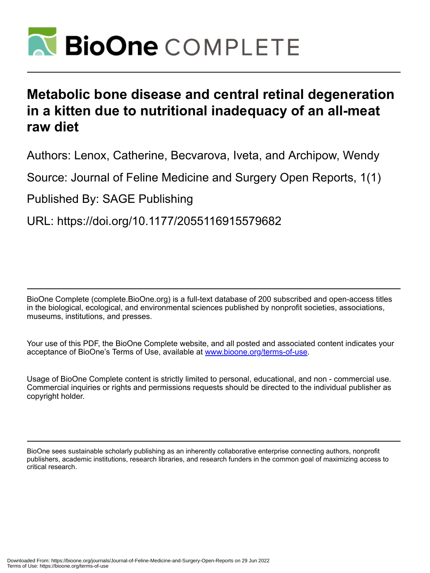

# **Metabolic bone disease and central retinal degeneration in a kitten due to nutritional inadequacy of an all-meat raw diet**

Authors: Lenox, Catherine, Becvarova, Iveta, and Archipow, Wendy

Source: Journal of Feline Medicine and Surgery Open Reports, 1(1)

Published By: SAGE Publishing

URL: https://doi.org/10.1177/2055116915579682

BioOne Complete (complete.BioOne.org) is a full-text database of 200 subscribed and open-access titles in the biological, ecological, and environmental sciences published by nonprofit societies, associations, museums, institutions, and presses.

Your use of this PDF, the BioOne Complete website, and all posted and associated content indicates your acceptance of BioOne's Terms of Use, available at www.bioone.org/terms-of-use.

Usage of BioOne Complete content is strictly limited to personal, educational, and non - commercial use. Commercial inquiries or rights and permissions requests should be directed to the individual publisher as copyright holder.

BioOne sees sustainable scholarly publishing as an inherently collaborative enterprise connecting authors, nonprofit publishers, academic institutions, research libraries, and research funders in the common goal of maximizing access to critical research.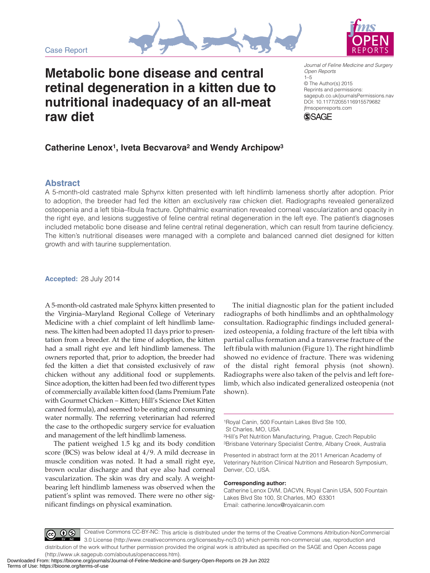### Case Report





## **Metabolic bone disease and central retinal degeneration in a kitten due to nutritional inadequacy of an all-meat raw diet**

*Journal of Feline Medicine and Surgery Open Reports* 1–5 © The Author(s) 2015 Reprints and permissions: sagepub.co.uk/journalsPermissions.nav DOI: 10.1177/2055116915579682 jfmsopenreports.com



## **Catherine Lenox1, Iveta Becvarova2 and Wendy Archipow3**

## **Abstract**

A 5-month-old castrated male Sphynx kitten presented with left hindlimb lameness shortly after adoption. Prior to adoption, the breeder had fed the kitten an exclusively raw chicken diet. Radiographs revealed generalized osteopenia and a left tibia–fibula fracture. Ophthalmic examination revealed corneal vascularization and opacity in the right eye, and lesions suggestive of feline central retinal degeneration in the left eye. The patient's diagnoses included metabolic bone disease and feline central retinal degeneration, which can result from taurine deficiency. The kitten's nutritional diseases were managed with a complete and balanced canned diet designed for kitten growth and with taurine supplementation.

**Accepted:** 28 July 2014

A 5-month-old castrated male Sphynx kitten presented to the Virginia–Maryland Regional College of Veterinary Medicine with a chief complaint of left hindlimb lameness. The kitten had been adopted 11 days prior to presentation from a breeder. At the time of adoption, the kitten had a small right eye and left hindlimb lameness. The owners reported that, prior to adoption, the breeder had fed the kitten a diet that consisted exclusively of raw chicken without any additional food or supplements. Since adoption, the kitten had been fed two different types of commercially available kitten food (Iams Premium Pate with Gourmet Chicken – Kitten; Hill's Science Diet Kitten canned formula), and seemed to be eating and consuming water normally. The referring veterinarian had referred the case to the orthopedic surgery service for evaluation and management of the left hindlimb lameness.

The patient weighed 1.5 kg and its body condition score (BCS) was below ideal at 4/9. A mild decrease in muscle condition was noted. It had a small right eye, brown ocular discharge and that eye also had corneal vascularization. The skin was dry and scaly. A weightbearing left hindlimb lameness was observed when the patient's splint was removed. There were no other significant findings on physical examination.

The initial diagnostic plan for the patient included radiographs of both hindlimbs and an ophthalmology consultation. Radiographic findings included generalized osteopenia, a folding fracture of the left tibia with partial callus formation and a transverse fracture of the left fibula with malunion (Figure 1). The right hindlimb showed no evidence of fracture. There was widening of the distal right femoral physis (not shown). Radiographs were also taken of the pelvis and left forelimb, which also indicated generalized osteopenia (not shown).

St Charles, MO, USA

#### **Corresponding author:**

Catherine Lenox DVM, DACVN, Royal Canin USA, 500 Fountain Lakes Blvd Ste 100, St Charles, MO 63301 Email: catherine.lenox@royalcanin.com



Creative Commons CC-BY-NC: This article is distributed under the terms of the Creative Commons Attribution-NonCommercial 3.0 License (http://www.creativecommons.org/licenses/by-nc/3.0/) which permits non-commercial use, reproduction and distribution of the work without further permission provided the original work is attributed as specified on the SAGE and Open Access page (http://www.uk.sagepub.com/aboutus/openaccess.htm).

<sup>1</sup>Royal Canin, 500 Fountain Lakes Blvd Ste 100,

<sup>2</sup>Hill's Pet Nutrition Manufacturing, Prague, Czech Republic 3Brisbane Veterinary Specialist Centre, Albany Creek, Australia

Presented in abstract form at the 2011 American Academy of Veterinary Nutrition Clinical Nutrition and Research Symposium, Denver, CO, USA.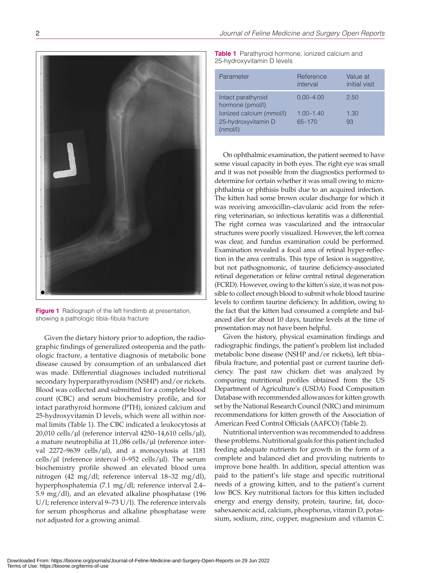

**Figure 1** Radiograph of the left hindlimb at presentation, showing a pathologic tibia–fibula fracture

Given the dietary history prior to adoption, the radiographic findings of generalized osteopenia and the pathologic fracture, a tentative diagnosis of metabolic bone disease caused by consumption of an unbalanced diet was made. Differential diagnoses included nutritional secondary hyperparathyroidism (NSHP) and/or rickets. Blood was collected and submitted for a complete blood count (CBC) and serum biochemistry profile, and for intact parathyroid hormone (PTH), ionized calcium and 25-hydroxyvitamin D levels, which were all within normal limits (Table 1). The CBC indicated a leukocytosis at  $20,010$  cells/ $\mu$ l (reference interval 4250–14,610 cells/ $\mu$ l), a mature neutrophilia at 11,086 cells/μl (reference interval 2272–9639 cells/ $\mu$ l), and a monocytosis at 1181 cells/ $\mu$ l (reference interval 0–952 cells/ $\mu$ l). The serum biochemistry profile showed an elevated blood urea nitrogen (42 mg/dl; reference interval 18–32 mg/dl), hyperphosphatemia (7.1 mg/dl; reference interval 2.4– 5.9 mg/dl), and an elevated alkaline phosphatase (196 U/l; reference interval 9–73 U/l). The reference intervals for serum phosphorus and alkaline phosphatase were not adjusted for a growing animal.

| <b>Table 1</b> Parathyroid hormone, ionized calcium and |  |  |
|---------------------------------------------------------|--|--|
| 25-hydroxyvitamin D levels                              |  |  |

| Parameter                              | Reference<br>interval | Value at<br>initial visit |
|----------------------------------------|-----------------------|---------------------------|
| Intact parathyroid<br>hormone (pmol/l) | $0.00 - 4.00$         | 2.50                      |
| lonized calcium (mmol/l)               | $1.00 - 1.40$         | 1.30                      |
| 25-hydroxyvitamin D<br>(mmol/l)        | $65 - 170$            | 93                        |

On ophthalmic examination, the patient seemed to have some visual capacity in both eyes. The right eye was small and it was not possible from the diagnostics performed to determine for certain whether it was small owing to microphthalmia or phthisis bulbi due to an acquired infection. The kitten had some brown ocular discharge for which it was receiving amoxicillin–clavulanic acid from the referring veterinarian, so infectious keratitis was a differential. The right cornea was vascularized and the intraocular structures were poorly visualized. However, the left cornea was clear, and fundus examination could be performed. Examination revealed a focal area of retinal hyper-reflection in the area centralis. This type of lesion is suggestive, but not pathognomonic, of taurine deficiency-associated retinal degeneration or feline central retinal degeneration (FCRD). However, owing to the kitten's size, it was not possible to collect enough blood to submit whole blood taurine levels to confirm taurine deficiency. In addition, owing to the fact that the kitten had consumed a complete and balanced diet for about 10 days, taurine levels at the time of presentation may not have been helpful.

Given the history, physical examination findings and radiographic findings, the patient's problem list included metabolic bone disease (NSHP and/or rickets), left tibia– fibula fracture, and potential past or current taurine deficiency. The past raw chicken diet was analyzed by comparing nutritional profiles obtained from the US Department of Agriculture's (USDA) Food Composition Database with recommended allowances for kitten growth set by the National Research Council (NRC) and minimum recommendations for kitten growth of the Association of American Feed Control Officials (AAFCO) (Table 2).

Nutritional intervention was recommended to address these problems. Nutritional goals for this patient included feeding adequate nutrients for growth in the form of a complete and balanced diet and providing nutrients to improve bone health. In addition, special attention was paid to the patient's life stage and specific nutritional needs of a growing kitten, and to the patient's current low BCS. Key nutritional factors for this kitten included energy and energy density, protein, taurine, fat, docosahexaenoic acid, calcium, phosphorus, vitamin D, potassium, sodium, zinc, copper, magnesium and vitamin C.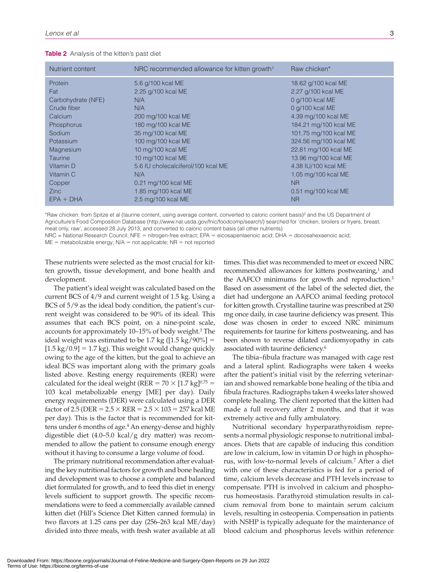| Nutrient content   | NRC recommended allowance for kitten growth <sup>1</sup> | Raw chicken*          |
|--------------------|----------------------------------------------------------|-----------------------|
| Protein            | 5.6 g/100 kcal ME                                        | 18.62 g/100 kcal ME   |
| Fat                | 2.25 g/100 kcal ME                                       | 2.27 g/100 kcal ME    |
| Carbohydrate (NFE) | N/A                                                      | 0 g/100 kcal ME       |
| Crude fiber        | N/A                                                      | 0 g/100 kcal ME       |
| Calcium            | 200 mg/100 kcal ME                                       | 4.39 mg/100 kcal ME   |
| Phosphorus         | 180 mg/100 kcal ME                                       | 184.21 mg/100 kcal ME |
| Sodium             | 35 mg/100 kcal ME                                        | 101.75 mg/100 kcal ME |
| Potassium          | 100 mg/100 kcal ME                                       | 324.56 mg/100 kcal ME |
| Magnesium          | 10 mg/100 kcal ME                                        | 22.81 mg/100 kcal ME  |
| <b>Taurine</b>     | 10 mg/100 kcal ME                                        | 13.96 mg/100 kcal ME  |
| Vitamin D          | 5.6 IU cholecalciferol/100 kcal ME                       | 4.38 IU/100 kcal ME   |
| Vitamin C          | N/A                                                      | 1.05 mg/100 kcal ME   |
| Copper             | 0.21 mg/100 kcal ME                                      | <b>NR</b>             |
| Zinc               | 1.85 mg/100 kcal ME                                      | 0.51 mg/100 kcal ME   |
| $EPA + DHA$        | 2.5 mg/100 kcal ME                                       | <b>NR</b>             |

#### **Table 2** Analysis of the kitten's past diet

\*Raw chicken: from Spitze et al (taurine content, using average content, converted to caloric content basis)2 and the US Department of Agriculture's Food Composition Database (http://www.nal.usda.gov/fnic/foodcomp/search/) searched for 'chicken, broilers or fryers, breast, meat only, raw', accessed 28 July 2013, and converted to caloric content basis (all other nutrients)

NRC = National Research Council; NFE = nitrogen-free extract; EPA = eicosapentaenoic acid; DHA = docosahexaenoic acid;  $ME =$  metabolizable energy;  $N/A =$  not applicable;  $NR =$  not reported

These nutrients were selected as the most crucial for kitten growth, tissue development, and bone health and development.

The patient's ideal weight was calculated based on the current BCS of 4/9 and current weight of 1.5 kg. Using a BCS of 5/9 as the ideal body condition, the patient's current weight was considered to be 90% of its ideal. This assumes that each BCS point, on a nine-point scale, accounts for approximately 10–15% of body weight.3 The ideal weight was estimated to be 1.7 kg ( $[1.5 \text{ kg}/90\%] =$  $[1.5 \text{ kg}/0.9] = 1.7 \text{ kg}$ . This weight would change quickly owing to the age of the kitten, but the goal to achieve an ideal BCS was important along with the primary goals listed above. Resting energy requirements (RER) were calculated for the ideal weight (RER =  $70 \times [1.7 \text{ kg}]^{0.75}$  = 103 kcal metabolizable energy [ME] per day). Daily energy requirements (DER) were calculated using a DER factor of 2.5 (DER =  $2.5 \times$  RER =  $2.5 \times 103 = 257$  kcal ME per day). This is the factor that is recommended for kittens under 6 months of age.<sup>4</sup> An energy-dense and highly digestible diet (4.0–5.0 kcal/g dry matter) was recommended to allow the patient to consume enough energy without it having to consume a large volume of food.

The primary nutritional recommendation after evaluating the key nutritional factors for growth and bone healing and development was to choose a complete and balanced diet formulated for growth, and to feed this diet in energy levels sufficient to support growth. The specific recommendations were to feed a commercially available canned kitten diet (Hill's Science Diet Kitten canned formula) in two flavors at 1.25 cans per day (256–263 kcal ME/day) divided into three meals, with fresh water available at all times. This diet was recommended to meet or exceed NRC recommended allowances for kittens postweaning,<sup>1</sup> and the AAFCO minimums for growth and reproduction.<sup>5</sup> Based on assessment of the label of the selected diet, the diet had undergone an AAFCO animal feeding protocol for kitten growth. Crystalline taurine was prescribed at 250 mg once daily, in case taurine deficiency was present. This dose was chosen in order to exceed NRC minimum requirements for taurine for kittens postweaning, and has been shown to reverse dilated cardiomyopathy in cats associated with taurine deficiency.6

The tibia–fibula fracture was managed with cage rest and a lateral splint. Radiographs were taken 4 weeks after the patient's initial visit by the referring veterinarian and showed remarkable bone healing of the tibia and fibula fractures. Radiographs taken 4 weeks later showed complete healing. The client reported that the kitten had made a full recovery after 2 months, and that it was extremely active and fully ambulatory.

Nutritional secondary hyperparathyroidism represents a normal physiologic response to nutritional imbalances. Diets that are capable of inducing this condition are low in calcium, low in vitamin D or high in phosphorus, with low-to-normal levels of calcium.7 After a diet with one of these characteristics is fed for a period of time, calcium levels decrease and PTH levels increase to compensate. PTH is involved in calcium and phosphorus homeostasis. Parathyroid stimulation results in calcium removal from bone to maintain serum calcium levels, resulting in osteopenia. Compensation in patients with NSHP is typically adequate for the maintenance of blood calcium and phosphorus levels within reference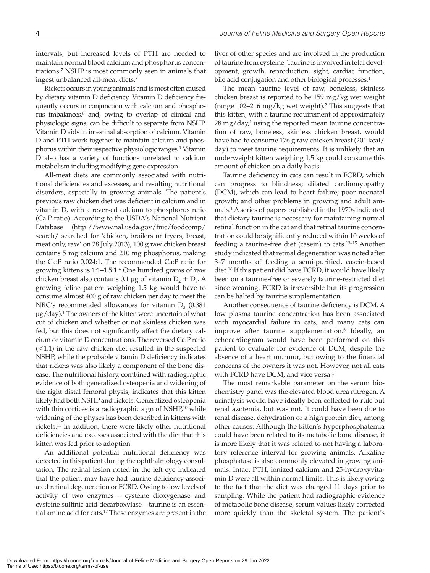intervals, but increased levels of PTH are needed to maintain normal blood calcium and phosphorus concentrations.7 NSHP is most commonly seen in animals that ingest unbalanced all-meat diets.7

Rickets occurs in young animals and is most often caused by dietary vitamin D deficiency. Vitamin D deficiency frequently occurs in conjunction with calcium and phosphorus imbalances,<sup>8</sup> and, owing to overlap of clinical and physiologic signs, can be difficult to separate from NSHP. Vitamin D aids in intestinal absorption of calcium. Vitamin D and PTH work together to maintain calcium and phosphorus within their respective physiologic ranges.9 Vitamin D also has a variety of functions unrelated to calcium metabolism including modifying gene expression.

All-meat diets are commonly associated with nutritional deficiencies and excesses, and resulting nutritional disorders, especially in growing animals. The patient's previous raw chicken diet was deficient in calcium and in vitamin D, with a reversed calcium to phosphorus ratio (Ca:P ratio). According to the USDA's National Nutrient Database [\(http://www.nal.usda.gov/fnic/foodcomp/](http://www.nal.usda.gov/fnic/foodcomp/search/) [search/](http://www.nal.usda.gov/fnic/foodcomp/search/) searched for 'chicken, broilers or fryers, breast, meat only, raw' on 28 July 2013), 100 g raw chicken breast contains 5 mg calcium and 210 mg phosphorus, making the Ca:P ratio 0.024:1. The recommended Ca:P ratio for growing kittens is 1:1–1.5:1.4 One hundred grams of raw chicken breast also contains 0.1 µg of vitamin  $D_2 + D_3$ . A growing feline patient weighing 1.5 kg would have to consume almost 400 g of raw chicken per day to meet the NRC's recommended allowances for vitamin  $D_3$  (0.381) µg/day).1 The owners of the kitten were uncertain of what cut of chicken and whether or not skinless chicken was fed, but this does not significantly affect the dietary calcium or vitamin D concentrations. The reversed Ca:P ratio  $(<1:1$ ) in the raw chicken diet resulted in the suspected NSHP, while the probable vitamin D deficiency indicates that rickets was also likely a component of the bone disease. The nutritional history, combined with radiographic evidence of both generalized osteopenia and widening of the right distal femoral physis, indicates that this kitten likely had both NSHP and rickets. Generalized osteopenia with thin cortices is a radiographic sign of NSHP,<sup>10</sup> while widening of the physes has been described in kittens with rickets.11 In addition, there were likely other nutritional deficiencies and excesses associated with the diet that this kitten was fed prior to adoption.

An additional potential nutritional deficiency was detected in this patient during the ophthalmology consultation. The retinal lesion noted in the left eye indicated that the patient may have had taurine deficiency-associated retinal degeneration or FCRD. Owing to low levels of activity of two enzymes – cysteine dioxygenase and cysteine sulfinic acid decarboxylase – taurine is an essential amino acid for cats.12 These enzymes are present in the liver of other species and are involved in the production of taurine from cysteine. Taurine is involved in fetal development, growth, reproduction, sight, cardiac function, bile acid conjugation and other biological processes.<sup>1</sup>

The mean taurine level of raw, boneless, skinless chicken breast is reported to be 159 mg/kg wet weight (range 102–216 mg/kg wet weight).2 This suggests that this kitten, with a taurine requirement of approximately  $28 \text{ mg}/\text{day}$ <sup>1</sup> using the reported mean taurine concentration of raw, boneless, skinless chicken breast, would have had to consume 176 g raw chicken breast (201 kcal/ day) to meet taurine requirements. It is unlikely that an underweight kitten weighing 1.5 kg could consume this amount of chicken on a daily basis.

Taurine deficiency in cats can result in FCRD, which can progress to blindness; dilated cardiomyopathy (DCM), which can lead to heart failure; poor neonatal growth; and other problems in growing and adult animals.1 A series of papers published in the 1970s indicated that dietary taurine is necessary for maintaining normal retinal function in the cat and that retinal taurine concentration could be significantly reduced within 10 weeks of feeding a taurine-free diet (casein) to cats.13–15 Another study indicated that retinal degeneration was noted after 3–7 months of feeding a semi-purified, casein-based diet.16 If this patient did have FCRD, it would have likely been on a taurine-free or severely taurine-restricted diet since weaning. FCRD is irreversible but its progression can be halted by taurine supplementation.

Another consequence of taurine deficiency is DCM. A low plasma taurine concentration has been associated with myocardial failure in cats, and many cats can improve after taurine supplementation.<sup>6</sup> Ideally, an echocardiogram would have been performed on this patient to evaluate for evidence of DCM, despite the absence of a heart murmur, but owing to the financial concerns of the owners it was not. However, not all cats with FCRD have DCM, and vice versa.<sup>1</sup>

The most remarkable parameter on the serum biochemistry panel was the elevated blood urea nitrogen. A urinalysis would have ideally been collected to rule out renal azotemia, but was not. It could have been due to renal disease, dehydration or a high protein diet, among other causes. Although the kitten's hyperphosphatemia could have been related to its metabolic bone disease, it is more likely that it was related to not having a laboratory reference interval for growing animals. Alkaline phosphatase is also commonly elevated in growing animals. Intact PTH, ionized calcium and 25-hydroxyvitamin D were all within normal limits. This is likely owing to the fact that the diet was changed 11 days prior to sampling. While the patient had radiographic evidence of metabolic bone disease, serum values likely corrected more quickly than the skeletal system. The patient's